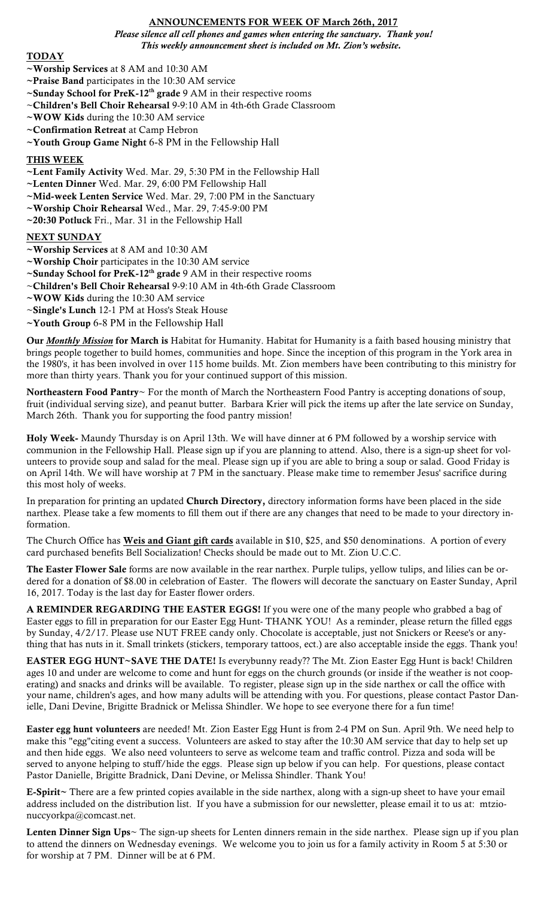# ANNOUNCEMENTS FOR WEEK OF March 26th, 2017

*Please silence all cell phones and games when entering the sanctuary. Thank you! This weekly announcement sheet is included on Mt. Zion's website.*

## TODAY

- ~Worship Services at 8 AM and 10:30 AM
- $\sim$ **Praise Band** participates in the 10:30 AM service
- $\sim$ Sunday School for PreK-12<sup>th</sup> grade 9 AM in their respective rooms
- ~Children's Bell Choir Rehearsal 9-9:10 AM in 4th-6th Grade Classroom
- $\sim$ WOW Kids during the 10:30 AM service
- ~Confirmation Retreat at Camp Hebron
- ~Youth Group Game Night 6-8 PM in the Fellowship Hall

### THIS WEEK

- ~Lent Family Activity Wed. Mar. 29, 5:30 PM in the Fellowship Hall
- ~Lenten Dinner Wed. Mar. 29, 6:00 PM Fellowship Hall
- ~Mid-week Lenten Service Wed. Mar. 29, 7:00 PM in the Sanctuary
- ~Worship Choir Rehearsal Wed., Mar. 29, 7:45-9:00 PM
- ~20:30 Potluck Fri., Mar. 31 in the Fellowship Hall

#### NEXT SUNDAY

- ~Worship Services at 8 AM and 10:30 AM
- ~Worship Choir participates in the 10:30 AM service
- $\sim$ Sunday School for PreK-12<sup>th</sup> grade 9 AM in their respective rooms
- ~Children's Bell Choir Rehearsal 9-9:10 AM in 4th-6th Grade Classroom
- ~WOW Kids during the 10:30 AM service
- ~Single's Lunch 12-1 PM at Hoss's Steak House
- $\sim$ Youth Group 6-8 PM in the Fellowship Hall

Our *Monthly Mission* for March is Habitat for Humanity. Habitat for Humanity is a faith based housing ministry that brings people together to build homes, communities and hope. Since the inception of this program in the York area in the 1980's, it has been involved in over 115 home builds. Mt. Zion members have been contributing to this ministry for more than thirty years. Thank you for your continued support of this mission.

Northeastern Food Pantry~ For the month of March the Northeastern Food Pantry is accepting donations of soup, fruit (individual serving size), and peanut butter. Barbara Krier will pick the items up after the late service on Sunday, March 26th. Thank you for supporting the food pantry mission!

Holy Week- Maundy Thursday is on April 13th. We will have dinner at 6 PM followed by a worship service with communion in the Fellowship Hall. Please sign up if you are planning to attend. Also, there is a sign-up sheet for volunteers to provide soup and salad for the meal. Please sign up if you are able to bring a soup or salad. Good Friday is on April 14th. We will have worship at 7 PM in the sanctuary. Please make time to remember Jesus' sacrifice during this most holy of weeks.

In preparation for printing an updated Church Directory, directory information forms have been placed in the side narthex. Please take a few moments to fill them out if there are any changes that need to be made to your directory information.

The Church Office has **Weis and Giant gift cards** available in \$10, \$25, and \$50 denominations. A portion of every card purchased benefits Bell Socialization! Checks should be made out to Mt. Zion U.C.C.

The Easter Flower Sale forms are now available in the rear narthex. Purple tulips, yellow tulips, and lilies can be ordered for a donation of \$8.00 in celebration of Easter. The flowers will decorate the sanctuary on Easter Sunday, April 16, 2017. Today is the last day for Easter flower orders.

A REMINDER REGARDING THE EASTER EGGS! If you were one of the many people who grabbed a bag of Easter eggs to fill in preparation for our Easter Egg Hunt- THANK YOU! As a reminder, please return the filled eggs by Sunday, 4/2/17. Please use NUT FREE candy only. Chocolate is acceptable, just not Snickers or Reese's or anything that has nuts in it. Small trinkets (stickers, temporary tattoos, ect.) are also acceptable inside the eggs. Thank you!

EASTER EGG HUNT~SAVE THE DATE! Is everybunny ready?? The Mt. Zion Easter Egg Hunt is back! Children ages 10 and under are welcome to come and hunt for eggs on the church grounds (or inside if the weather is not cooperating) and snacks and drinks will be available. To register, please sign up in the side narthex or call the office with your name, children's ages, and how many adults will be attending with you. For questions, please contact Pastor Danielle, Dani Devine, Brigitte Bradnick or Melissa Shindler. We hope to see everyone there for a fun time!

Easter egg hunt volunteers are needed! Mt. Zion Easter Egg Hunt is from 2-4 PM on Sun. April 9th. We need help to make this "egg"citing event a success. Volunteers are asked to stay after the 10:30 AM service that day to help set up and then hide eggs. We also need volunteers to serve as welcome team and traffic control. Pizza and soda will be served to anyone helping to stuff/hide the eggs. Please sign up below if you can help. For questions, please contact Pastor Danielle, Brigitte Bradnick, Dani Devine, or Melissa Shindler. Thank You!

E-Spirit~ There are a few printed copies available in the side narthex, along with a sign-up sheet to have your email address included on the distribution list. If you have a submission for our newsletter, please email it to us at: mtzionuccyorkpa@comcast.net.

Lenten Dinner Sign Ups~ The sign-up sheets for Lenten dinners remain in the side narthex. Please sign up if you plan to attend the dinners on Wednesday evenings. We welcome you to join us for a family activity in Room 5 at 5:30 or for worship at 7 PM. Dinner will be at 6 PM.